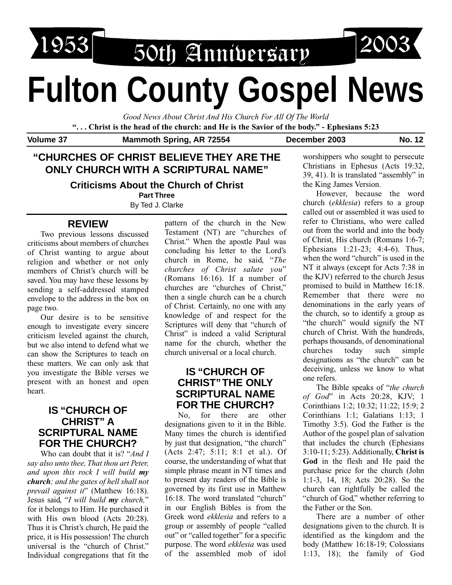

50th Anniversary

# **Fulton County Gospel News**

*Good News About Christ And His Church For All Of The World*

**". . . Christ is the head of the church: and He is the Savior of the body." - Ephesians 5:23**

Volume 37 Mammoth Spring, AR 72554 December 2003 No. 12

# **"CHURCHES OF CHRIST BELIEVE THEY ARE THE ONLY CHURCH WITH A SCRIPTURAL NAME"**

#### **Criticisms About the Church of Christ**

**Part Three**

By Ted J. Clarke

## **REVIEW**

Two previous lessons discussed criticisms about members of churches of Christ wanting to argue about religion and whether or not only members of Christ's church will be saved. You may have these lessons by sending a self-addressed stamped envelope to the address in the box on page two.

Our desire is to be sensitive enough to investigate every sincere criticism leveled against the church, but we also intend to defend what we can show the Scriptures to teach on these matters. We can only ask that you investigate the Bible verses we present with an honest and open heart.

## **IS "CHURCH OF CHRIST" A SCRIPTURAL NAME FOR THE CHURCH?**

Who can doubt that it is? "*And I say also unto thee, That thou art Peter, and upon this rock I will build my church; and the gates of hell shall not prevail against it*" (Matthew 16:18). Jesus said, "*I will build my church,*" for it belongs to Him. He purchased it with His own blood (Acts 20:28). Thus it is Christ's church, He paid the price, it is His possession! The church universal is the "church of Christ." Individual congregations that fit the pattern of the church in the New Testament (NT) are "churches of Christ." When the apostle Paul was concluding his letter to the Lord's church in Rome, he said, "*The churches of Christ salute you*" (Romans 16:16). If a number of churches are "churches of Christ," then a single church can be a church of Christ. Certainly, no one with any knowledge of and respect for the Scriptures will deny that "church of Christ" is indeed a valid Scriptural name for the church, whether the church universal or a local church.

## **IS "CHURCH OF CHRIST"THE ONLY SCRIPTURAL NAME FOR THE CHURCH?**

No, for there are other designations given to it in the Bible. Many times the church is identified by just that designation, "the church" (Acts 2:47; 5:11; 8:1 et al.). Of course, the understanding of what that simple phrase meant in NT times and to present day readers of the Bible is governed by its first use in Matthew 16:18. The word translated "church" in our English Bibles is from the Greek word *ekklesia* and refers to a group or assembly of people "called out" or "called together" for a specific purpose. The word *ekklesia* was used of the assembled mob of idol worshippers who sought to persecute Christians in Ephesus (Acts 19:32, 39, 41). It is translated "assembly" in the King James Version.

However, because the word church (*ekklesia*) refers to a group called out or assembled it was used to refer to Christians, who were called out from the world and into the body of Christ, His church (Romans 1:6-7; Ephesians 1:21-23; 4:4-6). Thus, when the word "church" is used in the NT it always (except for Acts 7:38 in the KJV) referred to the church Jesus promised to build in Matthew 16:18. Remember that there were no denominations in the early years of the church, so to identify a group as "the church" would signify the NT church of Christ. With the hundreds, perhaps thousands, of denominational churches today such simple designations as "the church" can be deceiving, unless we know to what one refers.

The Bible speaks of "*the church of God*" in Acts 20:28, KJV; 1 Corinthians 1:2; 10:32; 11:22; 15:9; 2 Corinthians 1:1; Galatians 1:13; 1 Timothy 3:5). God the Father is the Author of the gospel plan of salvation that includes the church (Ephesians 3:10-11; 5:23). Additionally, **Christ is God** in the flesh and He paid the purchase price for the church (John 1:1-3, 14, 18; Acts 20:28). So the church can rightfully be called the "church of God," whether referring to the Father or the Son.

There are a number of other designations given to the church. It is identified as the kingdom and the body (Matthew 16:18-19; Colossians 1:13, 18); the family of God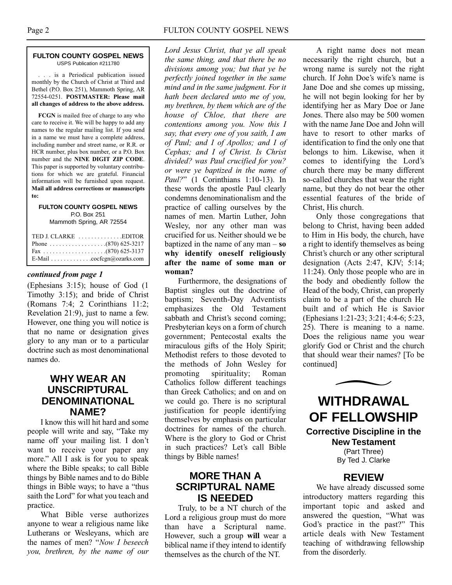#### **FULTON COUNTY GOSPEL NEWS** USPS Publication #211780

. . . is a Periodical publication issued monthly by the Church of Christ at Third and Bethel (P.O. Box 251), Mammoth Spring, AR 72554-0251. **POSTMASTER: Please mail all changes of address to the above address.**

**FCGN** is mailed free of charge to any who care to receive it. We will be happy to add any names to the regular mailing list. If you send in a name we must have a complete address, including number and street name, or R.R. or HCR number, plus box number, or a P.O. Box number and the **NINE DIGIT ZIP CODE**. This paper is supported by voluntary contributions for which we are grateful. Financial information will be furnished upon request. **Mail all address corrections or manuscripts to:**

#### **FULTON COUNTY GOSPEL NEWS** P.O. Box 251 Mammoth Spring, AR 72554

| TED J. CLARKE EDITOR      |  |
|---------------------------|--|
|                           |  |
|                           |  |
| E-Mail cocfcgn@ozarks.com |  |

#### *continued from page 1*

(Ephesians 3:15); house of God (1 Timothy 3:15); and bride of Christ (Romans 7:4; 2 Corinthians 11:2; Revelation 21:9), just to name a few. However, one thing you will notice is that no name or designation gives glory to any man or to a particular doctrine such as most denominational names do.

## **WHY WEAR AN UNSCRIPTURAL DENOMINATIONAL NAME?**

I know this will hit hard and some people will write and say, "Take my name off your mailing list. I don't want to receive your paper any more." All I ask is for you to speak where the Bible speaks; to call Bible things by Bible names and to do Bible things in Bible ways; to have a "thus saith the Lord" for what you teach and practice.

What Bible verse authorizes anyone to wear a religious name like Lutherans or Wesleyans, which are the names of men? "*Now I beseech you, brethren, by the name of our*

*Lord Jesus Christ, that ye all speak the same thing, and that there be no divisions among you; but that ye be perfectly joined together in the same mind and in the same judgment. For it hath been declared unto me of you, my brethren, by them which are of the house of Chloe, that there are contentions among you. Now this I say, that every one of you saith, I am of Paul; and I of Apollos; and I of Cephas; and I of Christ. Is Christ divided? was Paul crucified for you? or were ye baptized in the name of Paul?*" (1 Corinthians 1:10-13). In these words the apostle Paul clearly condemns denominationalism and the practice of calling ourselves by the names of men. Martin Luther, John Wesley, nor any other man was crucified for us. Neither should we be baptized in the name of any man – **so why identify oneself religiously after the name of some man or woman?**

Furthermore, the designations of Baptist singles out the doctrine of baptism; Seventh-Day Adventists emphasizes the Old Testament sabbath and Christ's second coming; Presbyterian keys on a form of church government; Pentecostal exalts the miraculous gifts of the Holy Spirit; Methodist refers to those devoted to the methods of John Wesley for promoting spirituality; Roman Catholics follow different teachings than Greek Catholics; and on and on we could go. There is no scriptural justification for people identifying themselves by emphasis on particular doctrines for names of the church. Where is the glory to God or Christ in such practices? Let's call Bible things by Bible names!

#### **MORE THAN A SCRIPTURAL NAME IS NEEDED**

Truly, to be a NT church of the Lord a religious group must do more than have a Scriptural name. However, such a group **will** wear a biblical name if they intend to identify themselves as the church of the NT.

A right name does not mean necessarily the right church, but a wrong name is surely not the right church. If John Doe's wife's name is Jane Doe and she comes up missing, he will not begin looking for her by identifying her as Mary Doe or Jane Jones. There also may be 500 women with the name Jane Doe and John will have to resort to other marks of identification to find the only one that belongs to him. Likewise, when it comes to identifying the Lord's church there may be many different so-called churches that wear the right name, but they do not bear the other essential features of the bride of Christ, His church.

Only those congregations that belong to Christ, having been added to Him in His body, the church, have a right to identify themselves as being Christ's church or any other scriptural designation (Acts 2:47, KJV; 5:14; 11:24). Only those people who are in the body and obediently follow the Head of the body, Christ, can properly claim to be a part of the church He built and of which He is Savior (Ephesians 1:21-23; 3:21; 4:4-6; 5:23, 25). There is meaning to a name. Does the religious name you wear glorify God or Christ and the church that should wear their names? [To be continued]



**WITHDRAWAL OF FELLOWSHIP**

**Corrective Discipline in the New Testament**

(Part Three) By Ted J. Clarke

## **REVIEW**

We have already discussed some introductory matters regarding this important topic and asked and answered the question, "What was God's practice in the past?" This article deals with New Testament teaching of withdrawing fellowship from the disorderly.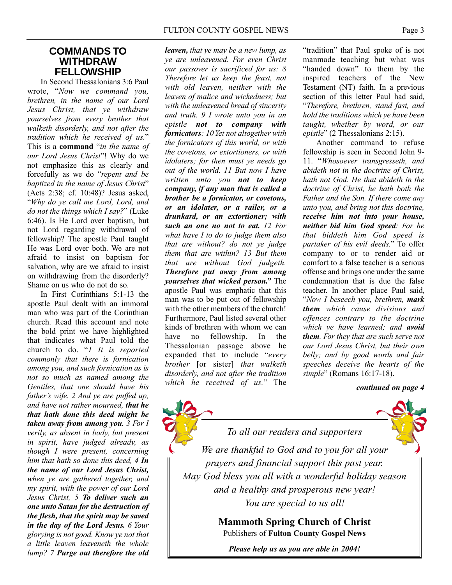#### **COMMANDS TO WITHDRAW FELLOWSHIP**

In Second Thessalonians 3:6 Paul wrote, "*Now we command you, brethren, in the name of our Lord Jesus Christ, that ye withdraw yourselves from every brother that walketh disorderly, and not after the tradition which he received of us.*" This is a **command** "*in the name of our Lord Jesus Christ*"! Why do we not emphasize this as clearly and forcefully as we do "*repent and be baptized in the name of Jesus Christ*" (Acts 2:38; cf. 10:48)? Jesus asked, "*Why do ye call me Lord, Lord, and do not the things which I say?*" (Luke 6:46). Is He Lord over baptism, but not Lord regarding withdrawal of fellowship? The apostle Paul taught He was Lord over both. We are not afraid to insist on baptism for salvation, why are we afraid to insist on withdrawing from the disorderly? Shame on us who do not do so.

In First Corinthians 5:1-13 the apostle Paul dealt with an immoral man who was part of the Corinthian church. Read this account and note the bold print we have highlighted that indicates what Paul told the church to do. "*1 It is reported commonly that there is fornication among you, and such fornication as is not so much as named among the Gentiles, that one should have his father's wife. 2 And ye are puffed up, and have not rather mourned, that he that hath done this deed might be taken away from among you. 3 For I verily, as absent in body, but present in spirit, have judged already, as though I were present, concerning him that hath so done this deed, 4 In the name of our Lord Jesus Christ, when ye are gathered together, and my spirit, with the power of our Lord Jesus Christ, 5 To deliver such an one unto Satan for the destruction of the flesh, that the spirit may be saved in the day of the Lord Jesus. 6 Your glorying is not good. Know ye not that a little leaven leaveneth the whole lump? 7 Purge out therefore the old* *leaven, that ye may be a new lump, as ye are unleavened. For even Christ our passover is sacrificed for us: 8 Therefore let us keep the feast, not with old leaven, neither with the leaven of malice and wickedness; but with the unleavened bread of sincerity and truth. 9 I wrote unto you in an epistle not to company with fornicators: 10 Yet not altogether with the fornicators of this world, or with the covetous, or extortioners, or with idolaters; for then must ye needs go out of the world. 11 But now I have written unto you not to keep company, if any man that is called a brother be a fornicator, or covetous, or an idolater, or a railer, or a drunkard, or an extortioner; with such an one no not to eat. 12 For what have I to do to judge them also that are without? do not ye judge them that are within? 13 But them that are without God judgeth. Therefore put away from among yourselves that wicked person."* The apostle Paul was emphatic that this man was to be put out of fellowship with the other members of the church! Furthermore, Paul listed several other kinds of brethren with whom we can have no fellowship. In the Thessalonian passage above he expanded that to include "*every brother* [or sister] *that walketh disorderly, and not after the tradition which he received of us.*" The *continued on page 4*

"tradition" that Paul spoke of is not manmade teaching but what was "handed down" to them by the inspired teachers of the New Testament (NT) faith. In a previous section of this letter Paul had said, "*Therefore, brethren, stand fast, and hold the traditions which ye have been taught, whether by word, or our epistle*" (2 Thessalonians 2:15).

Another command to refuse fellowship is seen in Second John 9- 11. "*Whosoever transgresseth, and abideth not in the doctrine of Christ, hath not God. He that abideth in the doctrine of Christ, he hath both the Father and the Son. If there come any unto you, and bring not this doctrine, receive him not into your house, neither bid him God speed: For he that biddeth him God speed is partaker of his evil deeds.*" To offer company to or to render aid or comfort to a false teacher is a serious offense and brings one under the same condemnation that is due the false teacher. In another place Paul said, "*Now I beseech you, brethren, mark them which cause divisions and offences contrary to the doctrine which ye have learned; and avoid them. For they that are such serve not our Lord Jesus Christ, but their own belly; and by good words and fair speeches deceive the hearts of the simple*" (Romans 16:17-18).



*We are thankful to God and to you for all your prayers and financial support this past year. May God bless you all with a wonderful holiday season and a healthy and prosperous new year!* 

*To all our readers and supporters*

*You are special to us all!*

**Mammoth Spring Church of Christ** Publishers of **Fulton County Gospel News**

*Please help us as you are able in 2004!*